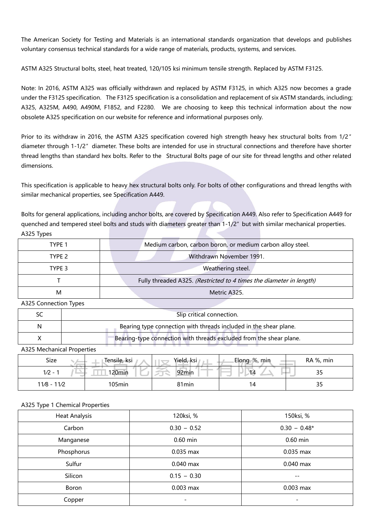The American Society for Testing and Materials is an international standards organization that develops and publishes voluntary consensus technical standards for a wide range of materials, products, systems, and services.

ASTM A325 [Structural](https://www.portlandbolt.com/technical/specifications/astm-a325/) bolts, steel, heat treated, 120/105 ksi minimum tensile strength. Replaced by ASTM F3125.

Note: In 2016, ASTM A325 was officially withdrawn and replaced by ASTM [F3125](https://www.portlandbolt.com/technical/specifications/astm-f3125/), in which A325 now becomes a grade under the F3125 specification. The F3125 specification is a consolidation and replacement of six ASTM standards, including; A325, A325M, [A490,](https://www.portlandbolt.com/technical/specifications/astm-a490/) A490M, F1852, and F2280. We are choosing to keep this technical information about the now obsolete A325 specification on our website for reference and informational purposes only.

Prior to its withdraw in 2016, the ASTM A325 specification covered high strength heavy hex structural bolts from 1/2" diameter through 1-1/2″ diameter. These bolts are intended for use in structural connections and therefore have shorter thread lengths than standard hex bolts. Refer to the Structural Bolts page of our site for thread lengths and other related dimensions.

This specification is applicable to heavy hex structural bolts only. For bolts of other configurations and thread lengths with similar mechanical properties, see Specification A449.

Bolts for general applications, including anchor bolts, are covered by Specification A449. Also refer to Specification A449 for quenched and tempered steel bolts and studs with diameters greater than 1-1/2″ but with similar mechanical properties. A325 Types

| TYPE 1 | Medium carbon, carbon boron, or medium carbon alloy steel.          |
|--------|---------------------------------------------------------------------|
| TYPE 2 | Withdrawn November 1991.                                            |
| TYPE 3 | Weathering steel.                                                   |
|        | Fully threaded A325. (Restricted to 4 times the diameter in length) |
| М      | Metric A325.                                                        |

A325 Connection Types

|   | Slip critical connection.                                           |
|---|---------------------------------------------------------------------|
| N | Bearing type connection with threads included in the shear plane.   |
|   | Bearing-type connection with threads excluded from the shear plane. |

A325 Mechanical Properties

| Size          | Tensile, ksi | Yield, ksi        | Elong. %, min | RA %, min |
|---------------|--------------|-------------------|---------------|-----------|
| $1/2 - 1$     | 120min       | 92min             | 14            | 35        |
| $11/8 - 11/2$ | 105min       | 81 <sub>min</sub> | 14            | 35        |

#### A325 Type 1 Chemical Properties

| <b>Heat Analysis</b> | 120ksi, %     | 150ksi, %                |
|----------------------|---------------|--------------------------|
| Carbon               | $0.30 - 0.52$ | $0.30 - 0.48*$           |
| Manganese            | 0.60 min      | $0.60$ min               |
| Phosphorus           | 0.035 max     | 0.035 max                |
| Sulfur               | $0.040$ max   | 0.040 max                |
| Silicon              | $0.15 - 0.30$ | $- -$                    |
| Boron                | $0.003$ max   | 0.003 max                |
| Copper               | -             | $\overline{\phantom{a}}$ |